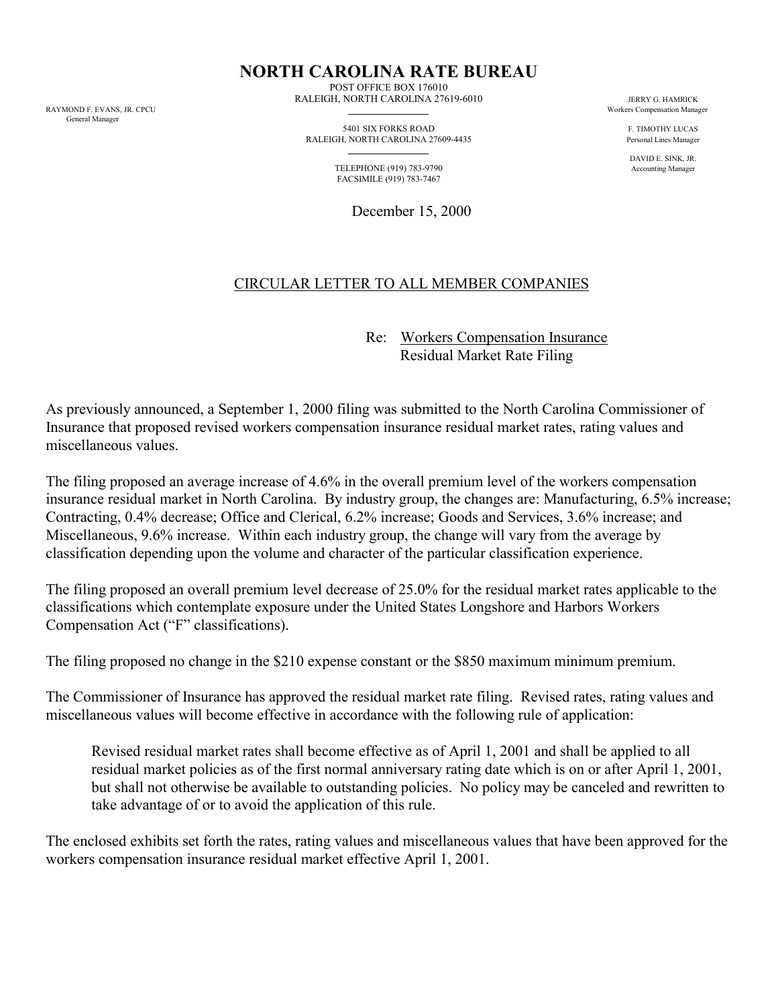General Manager

**NORTH CAROLINA RATE BUREAU**

POST OFFICE BOX 176010 RALEIGH, NORTH CAROLINA 27619-6010 JERRY G. HAMRICK JERRY G. HAMRICK<br>RAYMOND E EVANS IR CPCII

> 5401 SIX FORKS ROAD F. TIMOTHY LUCAS RALEIGH, NORTH CAROLINA 27609-4435 Personal Lines Manager

 TELEPHONE (919) 783-9790 Accounting Manager FACSIMILE (919) 783-7467

December 15, 2000

Workers Compensation Manager

DAVID E. SINK, JR.

## CIRCULAR LETTER TO ALL MEMBER COMPANIES

Re: Workers Compensation Insurance Residual Market Rate Filing

As previously announced, a September 1, 2000 filing was submitted to the North Carolina Commissioner of Insurance that proposed revised workers compensation insurance residual market rates, rating values and miscellaneous values.

The filing proposed an average increase of 4.6% in the overall premium level of the workers compensation insurance residual market in North Carolina. By industry group, the changes are: Manufacturing, 6.5% increase; Contracting, 0.4% decrease; Office and Clerical, 6.2% increase; Goods and Services, 3.6% increase; and Miscellaneous, 9.6% increase. Within each industry group, the change will vary from the average by classification depending upon the volume and character of the particular classification experience.

The filing proposed an overall premium level decrease of 25.0% for the residual market rates applicable to the classifications which contemplate exposure under the United States Longshore and Harbors Workers Compensation Act ("F" classifications).

The filing proposed no change in the \$210 expense constant or the \$850 maximum minimum premium.

The Commissioner of Insurance has approved the residual market rate filing. Revised rates, rating values and miscellaneous values will become effective in accordance with the following rule of application:

Revised residual market rates shall become effective as of April 1, 2001 and shall be applied to all residual market policies as of the first normal anniversary rating date which is on or after April 1, 2001, but shall not otherwise be available to outstanding policies. No policy may be canceled and rewritten to take advantage of or to avoid the application of this rule.

The enclosed exhibits set forth the rates, rating values and miscellaneous values that have been approved for the workers compensation insurance residual market effective April 1, 2001.